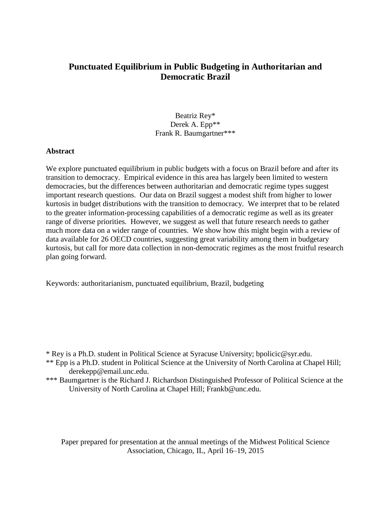# **Punctuated Equilibrium in Public Budgeting in Authoritarian and Democratic Brazil**

Beatriz Rey\* Derek A. Epp\*\* Frank R. Baumgartner\*\*\*

### **Abstract**

We explore punctuated equilibrium in public budgets with a focus on Brazil before and after its transition to democracy. Empirical evidence in this area has largely been limited to western democracies, but the differences between authoritarian and democratic regime types suggest important research questions. Our data on Brazil suggest a modest shift from higher to lower kurtosis in budget distributions with the transition to democracy. We interpret that to be related to the greater information-processing capabilities of a democratic regime as well as its greater range of diverse priorities. However, we suggest as well that future research needs to gather much more data on a wider range of countries. We show how this might begin with a review of data available for 26 OECD countries, suggesting great variability among them in budgetary kurtosis, but call for more data collection in non-democratic regimes as the most fruitful research plan going forward.

Keywords: authoritarianism, punctuated equilibrium, Brazil, budgeting

\*\*\* Baumgartner is the Richard J. Richardson Distinguished Professor of Political Science at the University of North Carolina at Chapel Hill; Frankb@unc.edu.

Paper prepared for presentation at the annual meetings of the Midwest Political Science Association, Chicago, IL, April 16–19, 2015

<sup>\*</sup> Rey is a Ph.D. student in Political Science at Syracuse University; bpolicic@syr.edu.

<sup>\*\*</sup> Epp is a Ph.D. student in Political Science at the University of North Carolina at Chapel Hill; derekepp@email.unc.edu.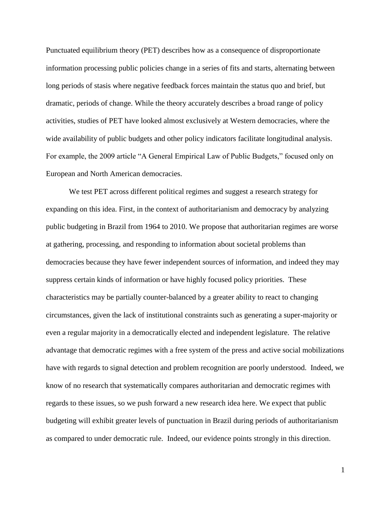Punctuated equilibrium theory (PET) describes how as a consequence of disproportionate information processing public policies change in a series of fits and starts, alternating between long periods of stasis where negative feedback forces maintain the status quo and brief, but dramatic, periods of change. While the theory accurately describes a broad range of policy activities, studies of PET have looked almost exclusively at Western democracies, where the wide availability of public budgets and other policy indicators facilitate longitudinal analysis. For example, the 2009 article "A General Empirical Law of Public Budgets," focused only on European and North American democracies.

We test PET across different political regimes and suggest a research strategy for expanding on this idea. First, in the context of authoritarianism and democracy by analyzing public budgeting in Brazil from 1964 to 2010. We propose that authoritarian regimes are worse at gathering, processing, and responding to information about societal problems than democracies because they have fewer independent sources of information, and indeed they may suppress certain kinds of information or have highly focused policy priorities. These characteristics may be partially counter-balanced by a greater ability to react to changing circumstances, given the lack of institutional constraints such as generating a super-majority or even a regular majority in a democratically elected and independent legislature. The relative advantage that democratic regimes with a free system of the press and active social mobilizations have with regards to signal detection and problem recognition are poorly understood. Indeed, we know of no research that systematically compares authoritarian and democratic regimes with regards to these issues, so we push forward a new research idea here. We expect that public budgeting will exhibit greater levels of punctuation in Brazil during periods of authoritarianism as compared to under democratic rule. Indeed, our evidence points strongly in this direction.

1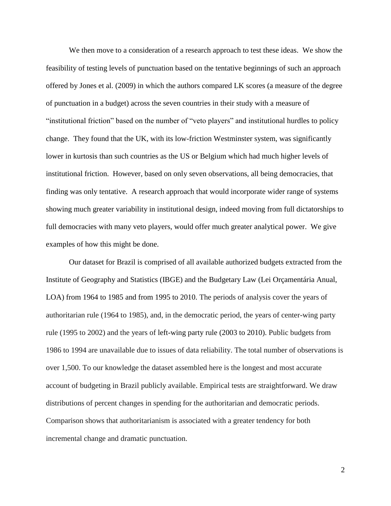We then move to a consideration of a research approach to test these ideas. We show the feasibility of testing levels of punctuation based on the tentative beginnings of such an approach offered by Jones et al. (2009) in which the authors compared LK scores (a measure of the degree of punctuation in a budget) across the seven countries in their study with a measure of "institutional friction" based on the number of "veto players" and institutional hurdles to policy change. They found that the UK, with its low-friction Westminster system, was significantly lower in kurtosis than such countries as the US or Belgium which had much higher levels of institutional friction. However, based on only seven observations, all being democracies, that finding was only tentative. A research approach that would incorporate wider range of systems showing much greater variability in institutional design, indeed moving from full dictatorships to full democracies with many veto players, would offer much greater analytical power. We give examples of how this might be done.

Our dataset for Brazil is comprised of all available authorized budgets extracted from the Institute of Geography and Statistics (IBGE) and the Budgetary Law (Lei Orçamentária Anual, LOA) from 1964 to 1985 and from 1995 to 2010. The periods of analysis cover the years of authoritarian rule (1964 to 1985), and, in the democratic period, the years of center-wing party rule (1995 to 2002) and the years of left-wing party rule (2003 to 2010). Public budgets from 1986 to 1994 are unavailable due to issues of data reliability. The total number of observations is over 1,500. To our knowledge the dataset assembled here is the longest and most accurate account of budgeting in Brazil publicly available. Empirical tests are straightforward. We draw distributions of percent changes in spending for the authoritarian and democratic periods. Comparison shows that authoritarianism is associated with a greater tendency for both incremental change and dramatic punctuation.

2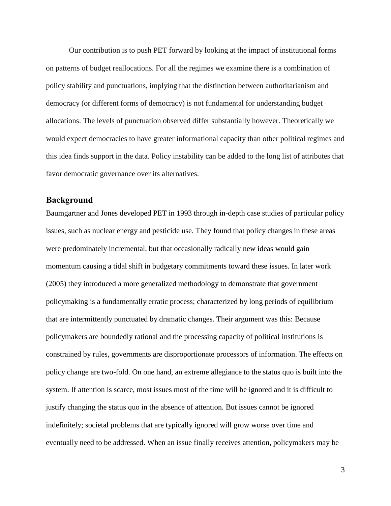Our contribution is to push PET forward by looking at the impact of institutional forms on patterns of budget reallocations. For all the regimes we examine there is a combination of policy stability and punctuations, implying that the distinction between authoritarianism and democracy (or different forms of democracy) is not fundamental for understanding budget allocations. The levels of punctuation observed differ substantially however. Theoretically we would expect democracies to have greater informational capacity than other political regimes and this idea finds support in the data. Policy instability can be added to the long list of attributes that favor democratic governance over its alternatives.

## **Background**

Baumgartner and Jones developed PET in 1993 through in-depth case studies of particular policy issues, such as nuclear energy and pesticide use. They found that policy changes in these areas were predominately incremental, but that occasionally radically new ideas would gain momentum causing a tidal shift in budgetary commitments toward these issues. In later work (2005) they introduced a more generalized methodology to demonstrate that government policymaking is a fundamentally erratic process; characterized by long periods of equilibrium that are intermittently punctuated by dramatic changes. Their argument was this: Because policymakers are boundedly rational and the processing capacity of political institutions is constrained by rules, governments are disproportionate processors of information. The effects on policy change are two-fold. On one hand, an extreme allegiance to the status quo is built into the system. If attention is scarce, most issues most of the time will be ignored and it is difficult to justify changing the status quo in the absence of attention. But issues cannot be ignored indefinitely; societal problems that are typically ignored will grow worse over time and eventually need to be addressed. When an issue finally receives attention, policymakers may be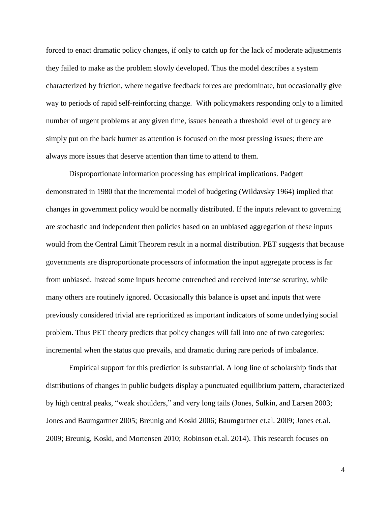forced to enact dramatic policy changes, if only to catch up for the lack of moderate adjustments they failed to make as the problem slowly developed. Thus the model describes a system characterized by friction, where negative feedback forces are predominate, but occasionally give way to periods of rapid self-reinforcing change. With policymakers responding only to a limited number of urgent problems at any given time, issues beneath a threshold level of urgency are simply put on the back burner as attention is focused on the most pressing issues; there are always more issues that deserve attention than time to attend to them.

Disproportionate information processing has empirical implications. Padgett demonstrated in 1980 that the incremental model of budgeting (Wildavsky 1964) implied that changes in government policy would be normally distributed. If the inputs relevant to governing are stochastic and independent then policies based on an unbiased aggregation of these inputs would from the Central Limit Theorem result in a normal distribution. PET suggests that because governments are disproportionate processors of information the input aggregate process is far from unbiased. Instead some inputs become entrenched and received intense scrutiny, while many others are routinely ignored. Occasionally this balance is upset and inputs that were previously considered trivial are reprioritized as important indicators of some underlying social problem. Thus PET theory predicts that policy changes will fall into one of two categories: incremental when the status quo prevails, and dramatic during rare periods of imbalance.

Empirical support for this prediction is substantial. A long line of scholarship finds that distributions of changes in public budgets display a punctuated equilibrium pattern, characterized by high central peaks, "weak shoulders," and very long tails (Jones, Sulkin, and Larsen 2003; Jones and Baumgartner 2005; Breunig and Koski 2006; Baumgartner et.al. 2009; Jones et.al. 2009; Breunig, Koski, and Mortensen 2010; Robinson et.al. 2014). This research focuses on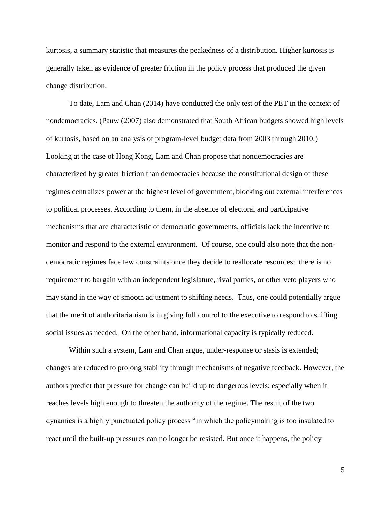kurtosis, a summary statistic that measures the peakedness of a distribution. Higher kurtosis is generally taken as evidence of greater friction in the policy process that produced the given change distribution.

To date, Lam and Chan (2014) have conducted the only test of the PET in the context of nondemocracies. (Pauw (2007) also demonstrated that South African budgets showed high levels of kurtosis, based on an analysis of program-level budget data from 2003 through 2010.) Looking at the case of Hong Kong, Lam and Chan propose that nondemocracies are characterized by greater friction than democracies because the constitutional design of these regimes centralizes power at the highest level of government, blocking out external interferences to political processes. According to them, in the absence of electoral and participative mechanisms that are characteristic of democratic governments, officials lack the incentive to monitor and respond to the external environment. Of course, one could also note that the nondemocratic regimes face few constraints once they decide to reallocate resources: there is no requirement to bargain with an independent legislature, rival parties, or other veto players who may stand in the way of smooth adjustment to shifting needs. Thus, one could potentially argue that the merit of authoritarianism is in giving full control to the executive to respond to shifting social issues as needed. On the other hand, informational capacity is typically reduced.

Within such a system, Lam and Chan argue, under-response or stasis is extended; changes are reduced to prolong stability through mechanisms of negative feedback. However, the authors predict that pressure for change can build up to dangerous levels; especially when it reaches levels high enough to threaten the authority of the regime. The result of the two dynamics is a highly punctuated policy process "in which the policymaking is too insulated to react until the built-up pressures can no longer be resisted. But once it happens, the policy

5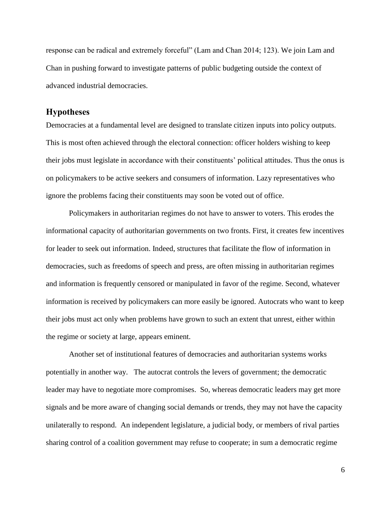response can be radical and extremely forceful" (Lam and Chan 2014; 123). We join Lam and Chan in pushing forward to investigate patterns of public budgeting outside the context of advanced industrial democracies.

### **Hypotheses**

Democracies at a fundamental level are designed to translate citizen inputs into policy outputs. This is most often achieved through the electoral connection: officer holders wishing to keep their jobs must legislate in accordance with their constituents' political attitudes. Thus the onus is on policymakers to be active seekers and consumers of information. Lazy representatives who ignore the problems facing their constituents may soon be voted out of office.

Policymakers in authoritarian regimes do not have to answer to voters. This erodes the informational capacity of authoritarian governments on two fronts. First, it creates few incentives for leader to seek out information. Indeed, structures that facilitate the flow of information in democracies, such as freedoms of speech and press, are often missing in authoritarian regimes and information is frequently censored or manipulated in favor of the regime. Second, whatever information is received by policymakers can more easily be ignored. Autocrats who want to keep their jobs must act only when problems have grown to such an extent that unrest, either within the regime or society at large, appears eminent.

Another set of institutional features of democracies and authoritarian systems works potentially in another way. The autocrat controls the levers of government; the democratic leader may have to negotiate more compromises. So, whereas democratic leaders may get more signals and be more aware of changing social demands or trends, they may not have the capacity unilaterally to respond. An independent legislature, a judicial body, or members of rival parties sharing control of a coalition government may refuse to cooperate; in sum a democratic regime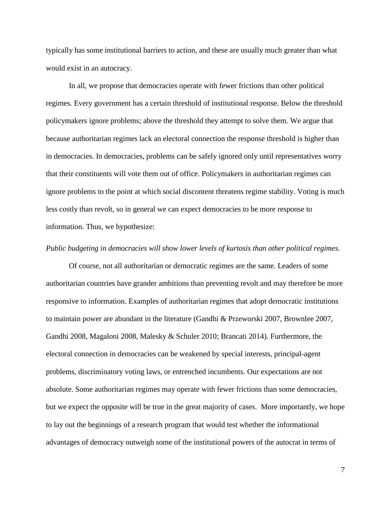typically has some institutional barriers to action, and these are usually much greater than what would exist in an autocracy.

In all, we propose that democracies operate with fewer frictions than other political regimes. Every government has a certain threshold of institutional response. Below the threshold policymakers ignore problems; above the threshold they attempt to solve them. We argue that because authoritarian regimes lack an electoral connection the response threshold is higher than in democracies. In democracies, problems can be safely ignored only until representatives worry that their constituents will vote them out of office. Policymakers in authoritarian regimes can ignore problems to the point at which social discontent threatens regime stability. Voting is much less costly than revolt, so in general we can expect democracies to be more response to information. Thus, we hypothesize:

#### *Public budgeting in democracies will show lower levels of kurtosis than other political regimes.*

Of course, not all authoritarian or democratic regimes are the same. Leaders of some authoritarian countries have grander ambitions than preventing revolt and may therefore be more responsive to information. Examples of authoritarian regimes that adopt democratic institutions to maintain power are abundant in the literature (Gandhi & Przeworski 2007, Brownlee 2007, Gandhi 2008, Magaloni 2008, Malesky & Schuler 2010; Brancati 2014). Furthermore, the electoral connection in democracies can be weakened by special interests, principal-agent problems, discriminatory voting laws, or entrenched incumbents. Our expectations are not absolute. Some authoritarian regimes may operate with fewer frictions than some democracies, but we expect the opposite will be true in the great majority of cases. More importantly, we hope to lay out the beginnings of a research program that would test whether the informational advantages of democracy outweigh some of the institutional powers of the autocrat in terms of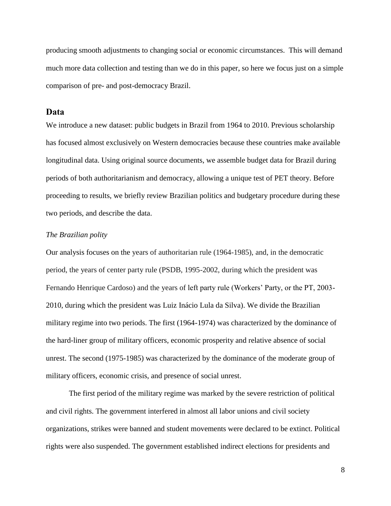producing smooth adjustments to changing social or economic circumstances. This will demand much more data collection and testing than we do in this paper, so here we focus just on a simple comparison of pre- and post-democracy Brazil.

### **Data**

We introduce a new dataset: public budgets in Brazil from 1964 to 2010. Previous scholarship has focused almost exclusively on Western democracies because these countries make available longitudinal data. Using original source documents, we assemble budget data for Brazil during periods of both authoritarianism and democracy, allowing a unique test of PET theory. Before proceeding to results, we briefly review Brazilian politics and budgetary procedure during these two periods, and describe the data.

#### *The Brazilian polity*

Our analysis focuses on the years of authoritarian rule (1964-1985), and, in the democratic period, the years of center party rule (PSDB, 1995-2002, during which the president was Fernando Henrique Cardoso) and the years of left party rule (Workers' Party, or the PT, 2003- 2010, during which the president was Luiz Inácio Lula da Silva). We divide the Brazilian military regime into two periods. The first (1964-1974) was characterized by the dominance of the hard-liner group of military officers, economic prosperity and relative absence of social unrest. The second (1975-1985) was characterized by the dominance of the moderate group of military officers, economic crisis, and presence of social unrest.

The first period of the military regime was marked by the severe restriction of political and civil rights. The government interfered in almost all labor unions and civil society organizations, strikes were banned and student movements were declared to be extinct. Political rights were also suspended. The government established indirect elections for presidents and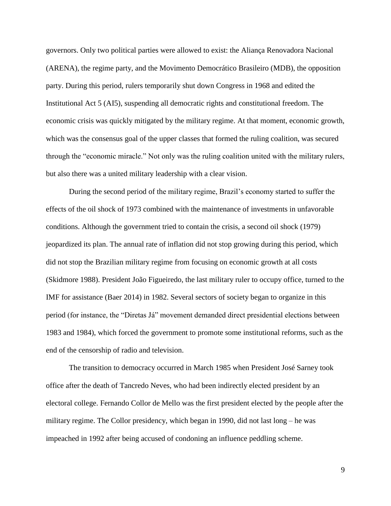governors. Only two political parties were allowed to exist: the Aliança Renovadora Nacional (ARENA), the regime party, and the Movimento Democrático Brasileiro (MDB), the opposition party. During this period, rulers temporarily shut down Congress in 1968 and edited the Institutional Act 5 (AI5), suspending all democratic rights and constitutional freedom. The economic crisis was quickly mitigated by the military regime. At that moment, economic growth, which was the consensus goal of the upper classes that formed the ruling coalition, was secured through the "economic miracle." Not only was the ruling coalition united with the military rulers, but also there was a united military leadership with a clear vision.

During the second period of the military regime, Brazil's economy started to suffer the effects of the oil shock of 1973 combined with the maintenance of investments in unfavorable conditions. Although the government tried to contain the crisis, a second oil shock (1979) jeopardized its plan. The annual rate of inflation did not stop growing during this period, which did not stop the Brazilian military regime from focusing on economic growth at all costs (Skidmore 1988). President João Figueiredo, the last military ruler to occupy office, turned to the IMF for assistance (Baer 2014) in 1982. Several sectors of society began to organize in this period (for instance, the "Diretas Já" movement demanded direct presidential elections between 1983 and 1984), which forced the government to promote some institutional reforms, such as the end of the censorship of radio and television.

The transition to democracy occurred in March 1985 when President José Sarney took office after the death of Tancredo Neves, who had been indirectly elected president by an electoral college. Fernando Collor de Mello was the first president elected by the people after the military regime. The Collor presidency, which began in 1990, did not last long – he was impeached in 1992 after being accused of condoning an influence peddling scheme.

9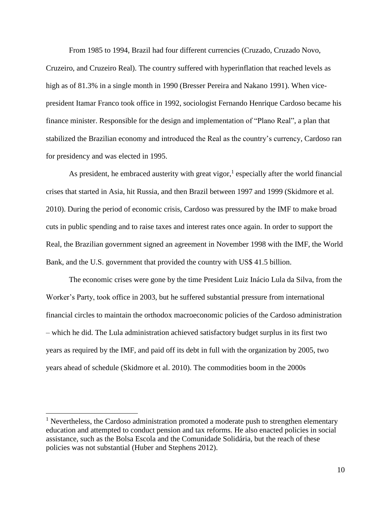From 1985 to 1994, Brazil had four different currencies (Cruzado, Cruzado Novo,

Cruzeiro, and Cruzeiro Real). The country suffered with hyperinflation that reached levels as high as of 81.3% in a single month in 1990 (Bresser Pereira and Nakano 1991). When vicepresident Itamar Franco took office in 1992, sociologist Fernando Henrique Cardoso became his finance minister. Responsible for the design and implementation of "Plano Real", a plan that stabilized the Brazilian economy and introduced the Real as the country's currency, Cardoso ran for presidency and was elected in 1995.

As president, he embraced austerity with great vigor,<sup>1</sup> especially after the world financial crises that started in Asia, hit Russia, and then Brazil between 1997 and 1999 (Skidmore et al. 2010). During the period of economic crisis, Cardoso was pressured by the IMF to make broad cuts in public spending and to raise taxes and interest rates once again. In order to support the Real, the Brazilian government signed an agreement in November 1998 with the IMF, the World Bank, and the U.S. government that provided the country with US\$ 41.5 billion.

The economic crises were gone by the time President Luiz Inácio Lula da Silva, from the Worker's Party, took office in 2003, but he suffered substantial pressure from international financial circles to maintain the orthodox macroeconomic policies of the Cardoso administration – which he did. The Lula administration achieved satisfactory budget surplus in its first two years as required by the IMF, and paid off its debt in full with the organization by 2005, two years ahead of schedule (Skidmore et al. 2010). The commodities boom in the 2000s

 $\overline{a}$ 

<sup>&</sup>lt;sup>1</sup> Nevertheless, the Cardoso administration promoted a moderate push to strengthen elementary education and attempted to conduct pension and tax reforms. He also enacted policies in social assistance, such as the Bolsa Escola and the Comunidade Solidária, but the reach of these policies was not substantial (Huber and Stephens 2012).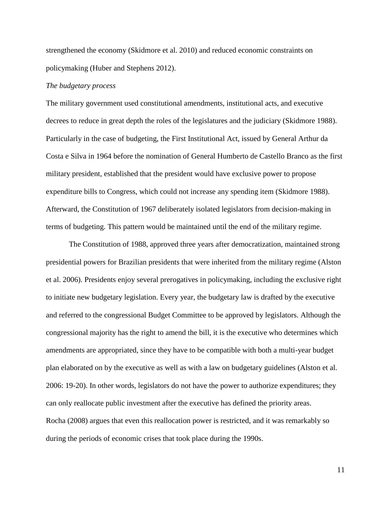strengthened the economy (Skidmore et al. 2010) and reduced economic constraints on policymaking (Huber and Stephens 2012).

### *The budgetary process*

The military government used constitutional amendments, institutional acts, and executive decrees to reduce in great depth the roles of the legislatures and the judiciary (Skidmore 1988). Particularly in the case of budgeting, the First Institutional Act, issued by General Arthur da Costa e Silva in 1964 before the nomination of General Humberto de Castello Branco as the first military president, established that the president would have exclusive power to propose expenditure bills to Congress, which could not increase any spending item (Skidmore 1988). Afterward, the Constitution of 1967 deliberately isolated legislators from decision-making in terms of budgeting. This pattern would be maintained until the end of the military regime.

The Constitution of 1988, approved three years after democratization, maintained strong presidential powers for Brazilian presidents that were inherited from the military regime (Alston et al. 2006). Presidents enjoy several prerogatives in policymaking, including the exclusive right to initiate new budgetary legislation. Every year, the budgetary law is drafted by the executive and referred to the congressional Budget Committee to be approved by legislators. Although the congressional majority has the right to amend the bill, it is the executive who determines which amendments are appropriated, since they have to be compatible with both a multi-year budget plan elaborated on by the executive as well as with a law on budgetary guidelines (Alston et al. 2006: 19-20). In other words, legislators do not have the power to authorize expenditures; they can only reallocate public investment after the executive has defined the priority areas. Rocha (2008) argues that even this reallocation power is restricted, and it was remarkably so during the periods of economic crises that took place during the 1990s.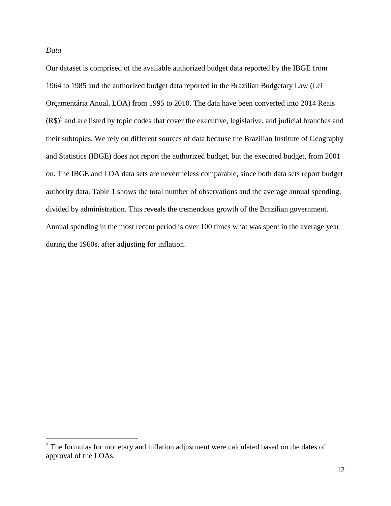*Data*

 $\overline{a}$ 

Our dataset is comprised of the available authorized budget data reported by the IBGE from 1964 to 1985 and the authorized budget data reported in the Brazilian Budgetary Law (Lei Orçamentária Anual, LOA) from 1995 to 2010. The data have been converted into 2014 Reais  $(R\$ <sup>2</sup> and are listed by topic codes that cover the executive, legislative, and judicial branches and their subtopics. We rely on different sources of data because the Brazilian Institute of Geography and Statistics (IBGE) does not report the authorized budget, but the executed budget, from 2001 on. The IBGE and LOA data sets are nevertheless comparable, since both data sets report budget authority data. Table 1 shows the total number of observations and the average annual spending, divided by administration. This reveals the tremendous growth of the Brazilian government. Annual spending in the most recent period is over 100 times what was spent in the average year during the 1960s, after adjusting for inflation.

<sup>&</sup>lt;sup>2</sup> The formulas for monetary and inflation adjustment were calculated based on the dates of approval of the LOAs.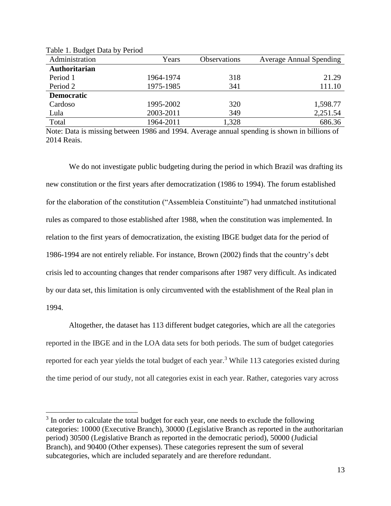| Administration       | Years     | Observations | <b>Average Annual Spending</b> |
|----------------------|-----------|--------------|--------------------------------|
| <b>Authoritarian</b> |           |              |                                |
| Period 1             | 1964-1974 | 318          | 21.29                          |
| Period 2             | 1975-1985 | 341          | 111.10                         |
| <b>Democratic</b>    |           |              |                                |
| Cardoso              | 1995-2002 | 320          | 1,598.77                       |
| Lula                 | 2003-2011 | 349          | 2,251.54                       |
| Total                | 1964-2011 | 1,328        | 686.36                         |

Table 1. Budget Data by Period

 $\overline{a}$ 

Note: Data is missing between 1986 and 1994. Average annual spending is shown in billions of 2014 Reais.

We do not investigate public budgeting during the period in which Brazil was drafting its new constitution or the first years after democratization (1986 to 1994). The forum established for the elaboration of the constitution ("Assembleia Constituinte") had unmatched institutional rules as compared to those established after 1988, when the constitution was implemented. In relation to the first years of democratization, the existing IBGE budget data for the period of 1986-1994 are not entirely reliable. For instance, Brown (2002) finds that the country's debt crisis led to accounting changes that render comparisons after 1987 very difficult. As indicated by our data set, this limitation is only circumvented with the establishment of the Real plan in 1994.

Altogether, the dataset has 113 different budget categories, which are all the categories reported in the IBGE and in the LOA data sets for both periods. The sum of budget categories reported for each year yields the total budget of each year.<sup>3</sup> While 113 categories existed during the time period of our study, not all categories exist in each year. Rather, categories vary across

 $3$  In order to calculate the total budget for each year, one needs to exclude the following categories: 10000 (Executive Branch), 30000 (Legislative Branch as reported in the authoritarian period) 30500 (Legislative Branch as reported in the democratic period), 50000 (Judicial Branch), and 90400 (Other expenses). These categories represent the sum of several subcategories, which are included separately and are therefore redundant.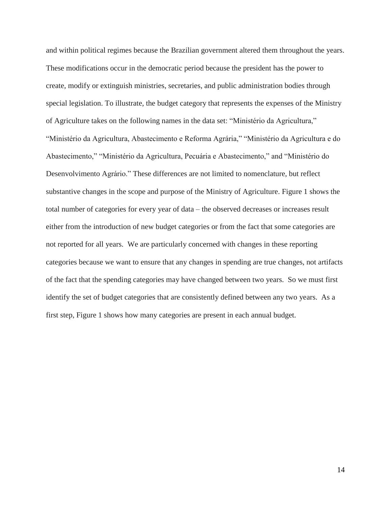and within political regimes because the Brazilian government altered them throughout the years. These modifications occur in the democratic period because the president has the power to create, modify or extinguish ministries, secretaries, and public administration bodies through special legislation. To illustrate, the budget category that represents the expenses of the Ministry of Agriculture takes on the following names in the data set: "Ministério da Agricultura," "Ministério da Agricultura, Abastecimento e Reforma Agrária," "Ministério da Agricultura e do Abastecimento," "Ministério da Agricultura, Pecuária e Abastecimento," and "Ministério do Desenvolvimento Agrário." These differences are not limited to nomenclature, but reflect substantive changes in the scope and purpose of the Ministry of Agriculture. Figure 1 shows the total number of categories for every year of data – the observed decreases or increases result either from the introduction of new budget categories or from the fact that some categories are not reported for all years. We are particularly concerned with changes in these reporting categories because we want to ensure that any changes in spending are true changes, not artifacts of the fact that the spending categories may have changed between two years. So we must first identify the set of budget categories that are consistently defined between any two years. As a first step, Figure 1 shows how many categories are present in each annual budget.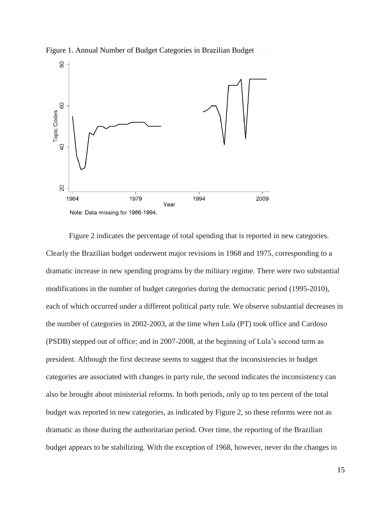

Figure 1. Annual Number of Budget Categories in Brazilian Budget

Figure 2 indicates the percentage of total spending that is reported in new categories. Clearly the Brazilian budget underwent major revisions in 1968 and 1975, corresponding to a dramatic increase in new spending programs by the military regime. There were two substantial modifications in the number of budget categories during the democratic period (1995-2010), each of which occurred under a different political party rule. We observe substantial decreases in the number of categories in 2002-2003, at the time when Lula (PT) took office and Cardoso (PSDB) stepped out of office; and in 2007-2008, at the beginning of Lula's second term as president. Although the first decrease seems to suggest that the inconsistencies in budget categories are associated with changes in party rule, the second indicates the inconsistency can also be brought about ministerial reforms. In both periods, only up to ten percent of the total budget was reported in new categories, as indicated by Figure 2, so these reforms were not as dramatic as those during the authoritarian period. Over time, the reporting of the Brazilian budget appears to be stabilizing. With the exception of 1968, however, never do the changes in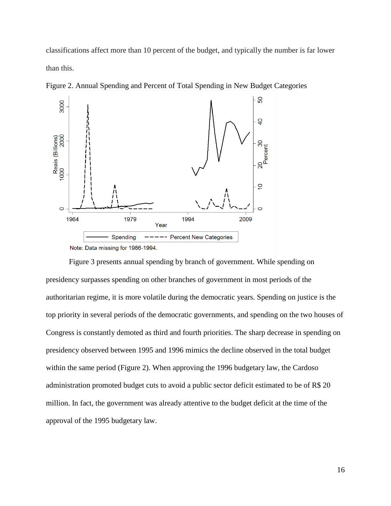classifications affect more than 10 percent of the budget, and typically the number is far lower than this.



Figure 2. Annual Spending and Percent of Total Spending in New Budget Categories

Note: Data missing for 1986-1994.

Figure 3 presents annual spending by branch of government. While spending on presidency surpasses spending on other branches of government in most periods of the authoritarian regime, it is more volatile during the democratic years. Spending on justice is the top priority in several periods of the democratic governments, and spending on the two houses of Congress is constantly demoted as third and fourth priorities. The sharp decrease in spending on presidency observed between 1995 and 1996 mimics the decline observed in the total budget within the same period (Figure 2). When approving the 1996 budgetary law, the Cardoso administration promoted budget cuts to avoid a public sector deficit estimated to be of R\$ 20 million. In fact, the government was already attentive to the budget deficit at the time of the approval of the 1995 budgetary law.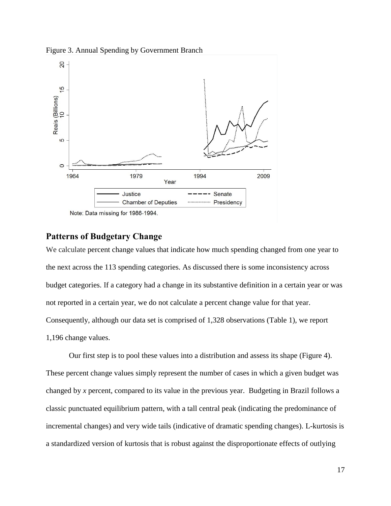Figure 3. Annual Spending by Government Branch



Note: Data missing for 1986-1994.

## **Patterns of Budgetary Change**

We calculate percent change values that indicate how much spending changed from one year to the next across the 113 spending categories. As discussed there is some inconsistency across budget categories. If a category had a change in its substantive definition in a certain year or was not reported in a certain year, we do not calculate a percent change value for that year. Consequently, although our data set is comprised of 1,328 observations (Table 1), we report 1,196 change values.

Our first step is to pool these values into a distribution and assess its shape (Figure 4). These percent change values simply represent the number of cases in which a given budget was changed by *x* percent, compared to its value in the previous year. Budgeting in Brazil follows a classic punctuated equilibrium pattern, with a tall central peak (indicating the predominance of incremental changes) and very wide tails (indicative of dramatic spending changes). L-kurtosis is a standardized version of kurtosis that is robust against the disproportionate effects of outlying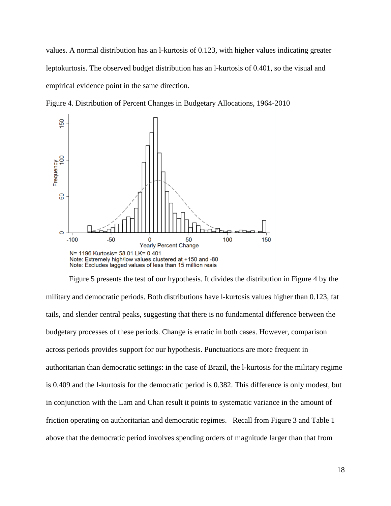values. A normal distribution has an l-kurtosis of 0.123, with higher values indicating greater leptokurtosis. The observed budget distribution has an l-kurtosis of 0.401, so the visual and empirical evidence point in the same direction.

Figure 4. Distribution of Percent Changes in Budgetary Allocations, 1964-2010



Figure 5 presents the test of our hypothesis. It divides the distribution in Figure 4 by the military and democratic periods. Both distributions have l-kurtosis values higher than 0.123, fat tails, and slender central peaks, suggesting that there is no fundamental difference between the budgetary processes of these periods. Change is erratic in both cases. However, comparison across periods provides support for our hypothesis. Punctuations are more frequent in authoritarian than democratic settings: in the case of Brazil, the l-kurtosis for the military regime is 0.409 and the l-kurtosis for the democratic period is 0.382. This difference is only modest, but in conjunction with the Lam and Chan result it points to systematic variance in the amount of friction operating on authoritarian and democratic regimes. Recall from Figure 3 and Table 1 above that the democratic period involves spending orders of magnitude larger than that from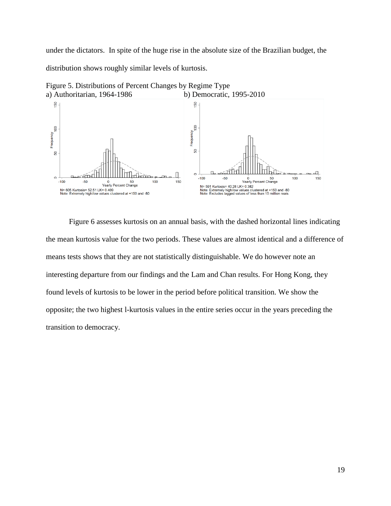under the dictators. In spite of the huge rise in the absolute size of the Brazilian budget, the distribution shows roughly similar levels of kurtosis.



Figure 5. Distributions of Percent Changes by Regime Type

Figure 6 assesses kurtosis on an annual basis, with the dashed horizontal lines indicating the mean kurtosis value for the two periods. These values are almost identical and a difference of means tests shows that they are not statistically distinguishable. We do however note an interesting departure from our findings and the Lam and Chan results. For Hong Kong, they found levels of kurtosis to be lower in the period before political transition. We show the opposite; the two highest l-kurtosis values in the entire series occur in the years preceding the transition to democracy.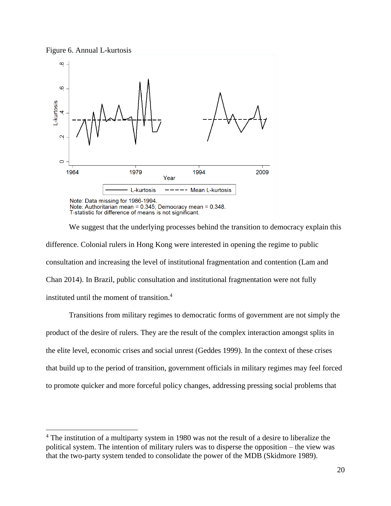$\overline{a}$ 



We suggest that the underlying processes behind the transition to democracy explain this difference. Colonial rulers in Hong Kong were interested in opening the regime to public consultation and increasing the level of institutional fragmentation and contention (Lam and Chan 2014). In Brazil, public consultation and institutional fragmentation were not fully instituted until the moment of transition. 4

Transitions from military regimes to democratic forms of government are not simply the product of the desire of rulers. They are the result of the complex interaction amongst splits in the elite level, economic crises and social unrest (Geddes 1999). In the context of these crises that build up to the period of transition, government officials in military regimes may feel forced to promote quicker and more forceful policy changes, addressing pressing social problems that

<sup>&</sup>lt;sup>4</sup> The institution of a multiparty system in 1980 was not the result of a desire to liberalize the political system. The intention of military rulers was to disperse the opposition – the view was that the two-party system tended to consolidate the power of the MDB (Skidmore 1989).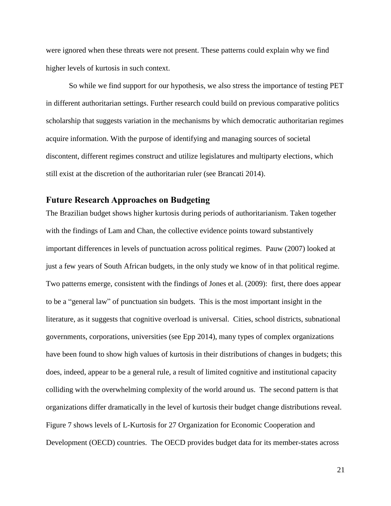were ignored when these threats were not present. These patterns could explain why we find higher levels of kurtosis in such context.

So while we find support for our hypothesis, we also stress the importance of testing PET in different authoritarian settings. Further research could build on previous comparative politics scholarship that suggests variation in the mechanisms by which democratic authoritarian regimes acquire information. With the purpose of identifying and managing sources of societal discontent, different regimes construct and utilize legislatures and multiparty elections, which still exist at the discretion of the authoritarian ruler (see Brancati 2014).

## **Future Research Approaches on Budgeting**

The Brazilian budget shows higher kurtosis during periods of authoritarianism. Taken together with the findings of Lam and Chan, the collective evidence points toward substantively important differences in levels of punctuation across political regimes. Pauw (2007) looked at just a few years of South African budgets, in the only study we know of in that political regime. Two patterns emerge, consistent with the findings of Jones et al. (2009): first, there does appear to be a "general law" of punctuation sin budgets. This is the most important insight in the literature, as it suggests that cognitive overload is universal. Cities, school districts, subnational governments, corporations, universities (see Epp 2014), many types of complex organizations have been found to show high values of kurtosis in their distributions of changes in budgets; this does, indeed, appear to be a general rule, a result of limited cognitive and institutional capacity colliding with the overwhelming complexity of the world around us. The second pattern is that organizations differ dramatically in the level of kurtosis their budget change distributions reveal. Figure 7 shows levels of L-Kurtosis for 27 Organization for Economic Cooperation and Development (OECD) countries. The OECD provides budget data for its member-states across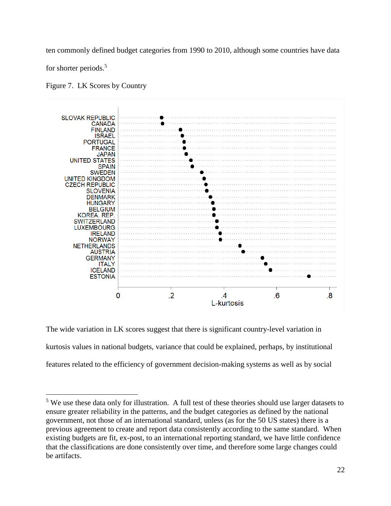ten commonly defined budget categories from 1990 to 2010, although some countries have data

for shorter periods.<sup>5</sup>

 $\overline{a}$ 

Figure 7. LK Scores by Country



The wide variation in LK scores suggest that there is significant country-level variation in kurtosis values in national budgets, variance that could be explained, perhaps, by institutional features related to the efficiency of government decision-making systems as well as by social

<sup>5</sup> We use these data only for illustration. A full test of these theories should use larger datasets to ensure greater reliability in the patterns, and the budget categories as defined by the national government, not those of an international standard, unless (as for the 50 US states) there is a previous agreement to create and report data consistently according to the same standard. When existing budgets are fit, ex-post, to an international reporting standard, we have little confidence that the classifications are done consistently over time, and therefore some large changes could be artifacts.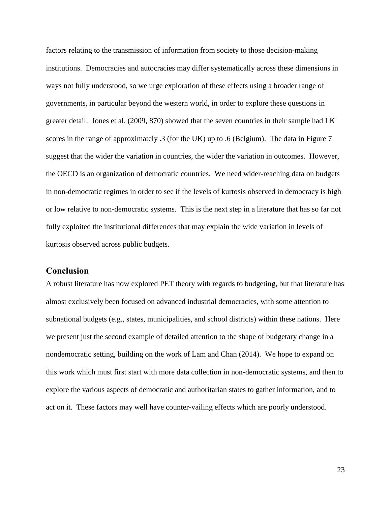factors relating to the transmission of information from society to those decision-making institutions. Democracies and autocracies may differ systematically across these dimensions in ways not fully understood, so we urge exploration of these effects using a broader range of governments, in particular beyond the western world, in order to explore these questions in greater detail. Jones et al. (2009, 870) showed that the seven countries in their sample had LK scores in the range of approximately .3 (for the UK) up to .6 (Belgium). The data in Figure 7 suggest that the wider the variation in countries, the wider the variation in outcomes. However, the OECD is an organization of democratic countries. We need wider-reaching data on budgets in non-democratic regimes in order to see if the levels of kurtosis observed in democracy is high or low relative to non-democratic systems. This is the next step in a literature that has so far not fully exploited the institutional differences that may explain the wide variation in levels of kurtosis observed across public budgets.

### **Conclusion**

A robust literature has now explored PET theory with regards to budgeting, but that literature has almost exclusively been focused on advanced industrial democracies, with some attention to subnational budgets (e.g., states, municipalities, and school districts) within these nations. Here we present just the second example of detailed attention to the shape of budgetary change in a nondemocratic setting, building on the work of Lam and Chan (2014). We hope to expand on this work which must first start with more data collection in non-democratic systems, and then to explore the various aspects of democratic and authoritarian states to gather information, and to act on it. These factors may well have counter-vailing effects which are poorly understood.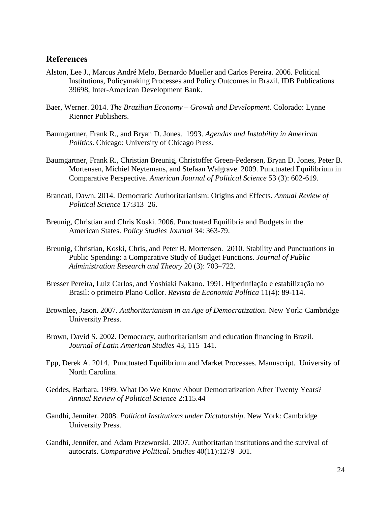## **References**

- Alston, Lee J., Marcus André Melo, Bernardo Mueller and Carlos Pereira. 2006. Political Institutions, Policymaking Processes and Policy Outcomes in Brazil. IDB Publications 39698, Inter-American Development Bank.
- Baer, Werner. 2014. *The Brazilian Economy – Growth and Development*. Colorado: Lynne Rienner Publishers.
- Baumgartner, Frank R., and Bryan D. Jones. 1993. *Agendas and Instability in American Politics*. Chicago: University of Chicago Press.
- Baumgartner, Frank R., Christian Breunig, Christoffer Green-Pedersen, Bryan D. Jones, Peter B. Mortensen, Michiel Neytemans, and Stefaan Walgrave. 2009. Punctuated Equilibrium in Comparative Perspective. *American Journal of Political Science* 53 (3): 602-619.
- Brancati, Dawn. 2014. Democratic Authoritarianism: Origins and Effects. *Annual Review of Political Science* 17:313–26.
- Breunig, Christian and Chris Koski. 2006. Punctuated Equilibria and Budgets in the American States. *Policy Studies Journal* 34: 363-79.
- Breunig, Christian, Koski, Chris, and Peter B. Mortensen. 2010. Stability and Punctuations in Public Spending: a Comparative Study of Budget Functions. *Journal of Public Administration Research and Theory* 20 (3): 703–722.
- Bresser Pereira, Luiz Carlos, and Yoshiaki Nakano. 1991. Hiperinflação e estabilização no Brasil: o primeiro Plano Collor. *Revista de Economia Política* 11(4): 89-114.
- Brownlee, Jason. 2007. *Authoritarianism in an Age of Democratization*. New York: Cambridge University Press.
- Brown, David S. 2002. Democracy, authoritarianism and education financing in Brazil. *Journal of Latin American Studies* 43, 115–141.
- Epp, Derek A. 2014. Punctuated Equilibrium and Market Processes. Manuscript. University of North Carolina.
- Geddes, Barbara. 1999. What Do We Know About Democratization After Twenty Years? *Annual Review of Political Science* 2:115.44
- Gandhi, Jennifer. 2008. *Political Institutions under Dictatorship*. New York: Cambridge University Press.
- Gandhi, Jennifer, and Adam Przeworski. 2007. Authoritarian institutions and the survival of autocrats. *Comparative Political. Studies* 40(11):1279–301.